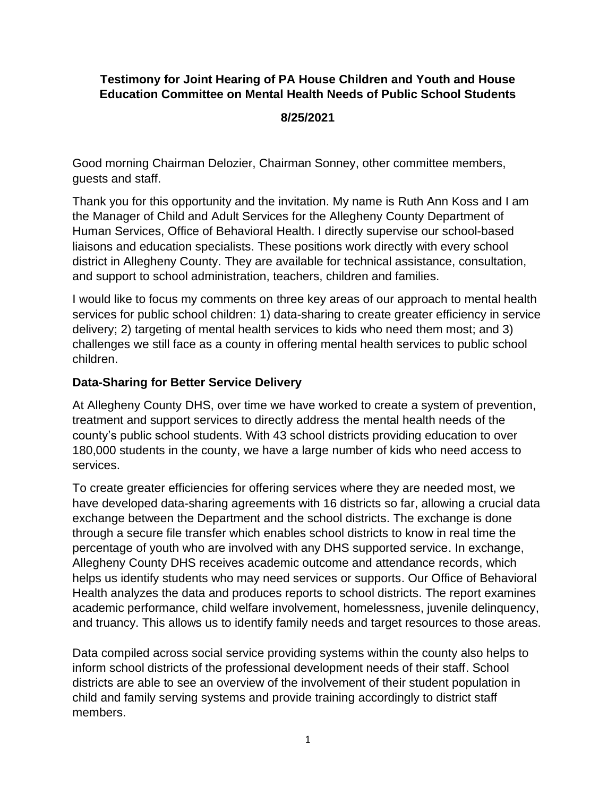# **Testimony for Joint Hearing of PA House Children and Youth and House Education Committee on Mental Health Needs of Public School Students**

## **8/25/2021**

Good morning Chairman Delozier, Chairman Sonney, other committee members, guests and staff.

Thank you for this opportunity and the invitation. My name is Ruth Ann Koss and I am the Manager of Child and Adult Services for the Allegheny County Department of Human Services, Office of Behavioral Health. I directly supervise our school-based liaisons and education specialists. These positions work directly with every school district in Allegheny County. They are available for technical assistance, consultation, and support to school administration, teachers, children and families.

I would like to focus my comments on three key areas of our approach to mental health services for public school children: 1) data-sharing to create greater efficiency in service delivery; 2) targeting of mental health services to kids who need them most; and 3) challenges we still face as a county in offering mental health services to public school children.

#### **Data-Sharing for Better Service Delivery**

At Allegheny County DHS, over time we have worked to create a system of prevention, treatment and support services to directly address the mental health needs of the county's public school students. With 43 school districts providing education to over 180,000 students in the county, we have a large number of kids who need access to services.

To create greater efficiencies for offering services where they are needed most, we have developed data-sharing agreements with 16 districts so far, allowing a crucial data exchange between the Department and the school districts. The exchange is done through a secure file transfer which enables school districts to know in real time the percentage of youth who are involved with any DHS supported service. In exchange, Allegheny County DHS receives academic outcome and attendance records, which helps us identify students who may need services or supports. Our Office of Behavioral Health analyzes the data and produces reports to school districts. The report examines academic performance, child welfare involvement, homelessness, juvenile delinquency, and truancy. This allows us to identify family needs and target resources to those areas.

Data compiled across social service providing systems within the county also helps to inform school districts of the professional development needs of their staff. School districts are able to see an overview of the involvement of their student population in child and family serving systems and provide training accordingly to district staff members.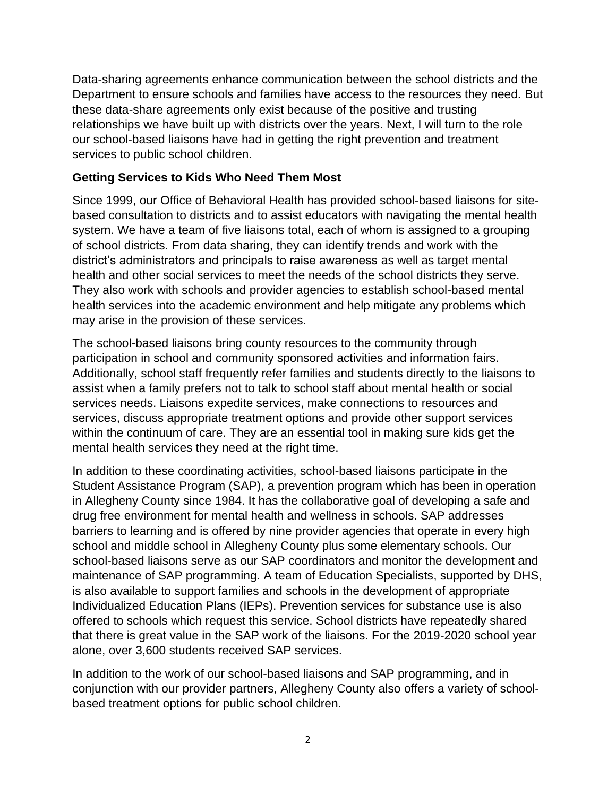Data-sharing agreements enhance communication between the school districts and the Department to ensure schools and families have access to the resources they need. But these data-share agreements only exist because of the positive and trusting relationships we have built up with districts over the years. Next, I will turn to the role our school-based liaisons have had in getting the right prevention and treatment services to public school children.

# **Getting Services to Kids Who Need Them Most**

Since 1999, our Office of Behavioral Health has provided school-based liaisons for sitebased consultation to districts and to assist educators with navigating the mental health system. We have a team of five liaisons total, each of whom is assigned to a grouping of school districts. From data sharing, they can identify trends and work with the district's administrators and principals to raise awareness as well as target mental health and other social services to meet the needs of the school districts they serve. They also work with schools and provider agencies to establish school-based mental health services into the academic environment and help mitigate any problems which may arise in the provision of these services.

The school-based liaisons bring county resources to the community through participation in school and community sponsored activities and information fairs. Additionally, school staff frequently refer families and students directly to the liaisons to assist when a family prefers not to talk to school staff about mental health or social services needs. Liaisons expedite services, make connections to resources and services, discuss appropriate treatment options and provide other support services within the continuum of care. They are an essential tool in making sure kids get the mental health services they need at the right time.

In addition to these coordinating activities, school-based liaisons participate in the Student Assistance Program (SAP), a prevention program which has been in operation in Allegheny County since 1984. It has the collaborative goal of developing a safe and drug free environment for mental health and wellness in schools. SAP addresses barriers to learning and is offered by nine provider agencies that operate in every high school and middle school in Allegheny County plus some elementary schools. Our school-based liaisons serve as our SAP coordinators and monitor the development and maintenance of SAP programming. A team of Education Specialists, supported by DHS, is also available to support families and schools in the development of appropriate Individualized Education Plans (IEPs). Prevention services for substance use is also offered to schools which request this service. School districts have repeatedly shared that there is great value in the SAP work of the liaisons. For the 2019-2020 school year alone, over 3,600 students received SAP services.

In addition to the work of our school-based liaisons and SAP programming, and in conjunction with our provider partners, Allegheny County also offers a variety of schoolbased treatment options for public school children.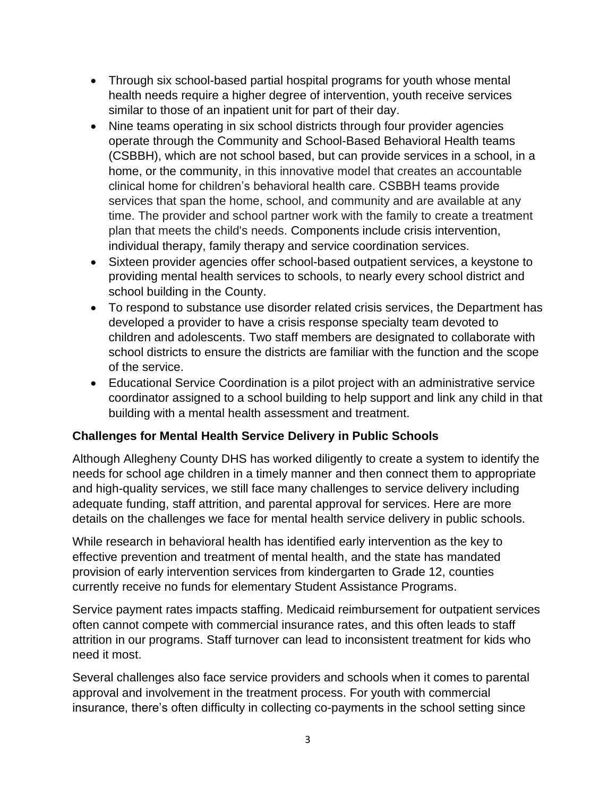- Through six school-based partial hospital programs for youth whose mental health needs require a higher degree of intervention, youth receive services similar to those of an inpatient unit for part of their day.
- Nine teams operating in six school districts through four provider agencies operate through the Community and School-Based Behavioral Health teams (CSBBH), which are not school based, but can provide services in a school, in a home, or the community, in this innovative model that creates an accountable clinical home for children's behavioral health care. CSBBH teams provide services that span the home, school, and community and are available at any time. The provider and school partner work with the family to create a treatment plan that meets the child's needs. Components include crisis intervention, individual therapy, family therapy and service coordination services.
- Sixteen provider agencies offer school-based outpatient services, a keystone to providing mental health services to schools, to nearly every school district and school building in the County.
- To respond to substance use disorder related crisis services, the Department has developed a provider to have a crisis response specialty team devoted to children and adolescents. Two staff members are designated to collaborate with school districts to ensure the districts are familiar with the function and the scope of the service.
- Educational Service Coordination is a pilot project with an administrative service coordinator assigned to a school building to help support and link any child in that building with a mental health assessment and treatment.

## **Challenges for Mental Health Service Delivery in Public Schools**

Although Allegheny County DHS has worked diligently to create a system to identify the needs for school age children in a timely manner and then connect them to appropriate and high-quality services, we still face many challenges to service delivery including adequate funding, staff attrition, and parental approval for services. Here are more details on the challenges we face for mental health service delivery in public schools.

While research in behavioral health has identified early intervention as the key to effective prevention and treatment of mental health, and the state has mandated provision of early intervention services from kindergarten to Grade 12, counties currently receive no funds for elementary Student Assistance Programs.

Service payment rates impacts staffing. Medicaid reimbursement for outpatient services often cannot compete with commercial insurance rates, and this often leads to staff attrition in our programs. Staff turnover can lead to inconsistent treatment for kids who need it most.

Several challenges also face service providers and schools when it comes to parental approval and involvement in the treatment process. For youth with commercial insurance, there's often difficulty in collecting co-payments in the school setting since